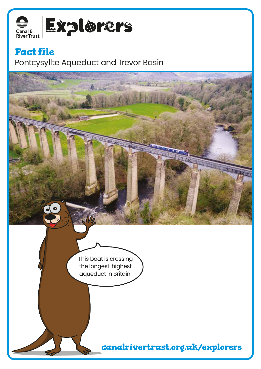

## **Fact file**

Pontcysyllte Aqueduct and Trevor Basin

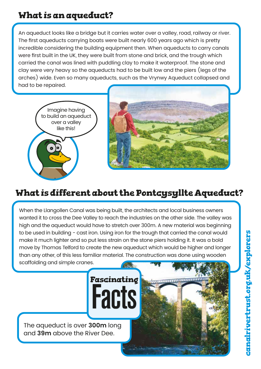## **What is an aqueduct?**

An aqueduct looks like a bridge but it carries water over a valley, road, railway or river. The first aqueducts carrying boats were built nearly 600 years ago which is pretty incredible considering the building equipment then. When aqueducts to carry canals were first built in the UK, they were built from stone and brick, and the trough which carried the canal was lined with puddling clay to make it waterproof. The stone and clay were very heavy so the aqueducts had to be built low and the piers (legs of the arches) wide. Even so many aqueducts, such as the Vrynwy Aqueduct collapsed and had to be repaired.





# **What is different about the Pontcysyllte Aqueduct?**

When the Llangollen Canal was being built, the architects and local business owners wanted it to cross the Dee Valley to reach the industries on the other side. The valley was high and the aqueduct would have to stretch over 300m. A new material was beginning to be used in building - cast iron. Using iron for the trough that carried the canal would make it much lighter and so put less strain on the stone piers holding it. It was a bold move by Thomas Telford to create the new aqueduct which would be higher and longer than any other, of this less familiar material. The construction was done using wooden scaffolding and simple cranes.

Facts

**Fascinating**

The aqueduct is over **300m** long and **39m** above the River Dee.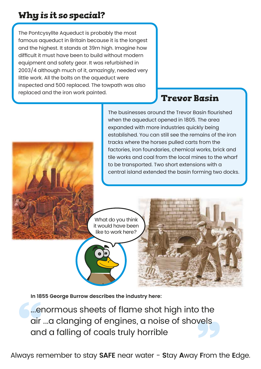## **Why is it so special?**

The Pontcysyllte Aqueduct is probably the most famous aqueduct in Britain because it is the longest and the highest. It stands at 39m high. Imagine how difficult it must have been to build without modern equipment and safety gear. It was refurbished in 2003/4 although much of it, amazingly, needed very little work. All the bolts on the aqueduct were inspected and 500 replaced. The towpath was also replaced and the iron work painted.

#### **Trevor Basin**

The businesses around the Trevor Basin flourished when the aqueduct opened in 1805. The area expanded with more industries quickly being established. You can still see the remains of the iron tracks where the horses pulled carts from the factories, iron foundaries, chemical works, brick and tile works and coal from the local mines to the wharf to be transported. Two short extensions with a central island extended the basin forming two docks.

What do you think it would have been like to work here?

**In 1855 George Burrow describes the industry here:**

...enormous sheets of flame shot high into the air ...a clanging of engines, a noise of shovels and a falling of coals truly horrible

Always remember to stay **SAFE** near water - **S**tay **A**way **F**rom the **E**dge.